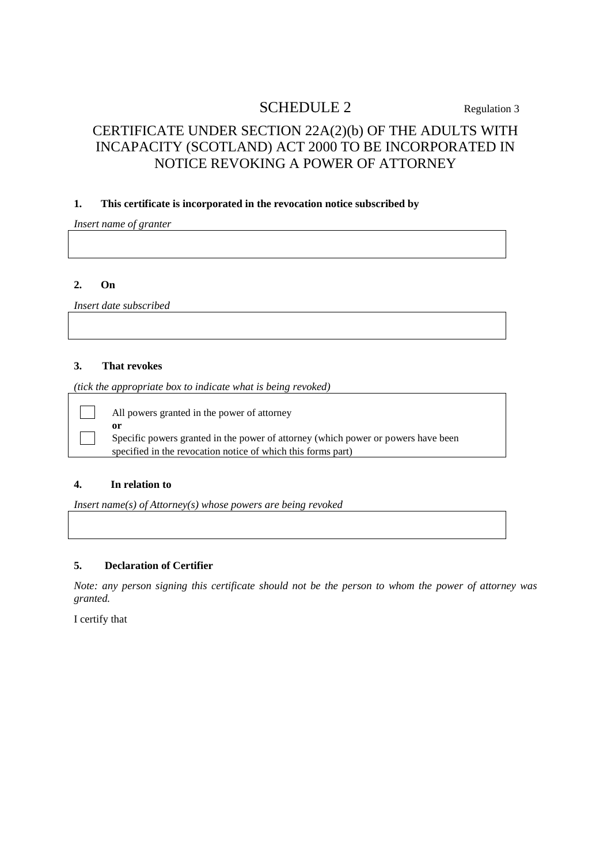# SCHEDULE 2 Regulation 3

# CERTIFICATE UNDER SECTION 22A(2)(b) OF THE ADULTS WITH INCAPACITY (SCOTLAND) ACT 2000 TO BE INCORPORATED IN NOTICE REVOKING A POWER OF ATTORNEY

### **1. This certificate is incorporated in the revocation notice subscribed by**

*Insert name of granter*

#### **2. On**

*Insert date subscribed*

### **3. That revokes**

*(tick the appropriate box to indicate what is being revoked)*

All powers granted in the power of attorney

**or** Specific powers granted in the power of attorney (which power or powers have been specified in the revocation notice of which this forms part)

#### **4. In relation to**

*Insert name(s) of Attorney(s) whose powers are being revoked*

## **5. Declaration of Certifier**

*Note: any person signing this certificate should not be the person to whom the power of attorney was granted.*

I certify that